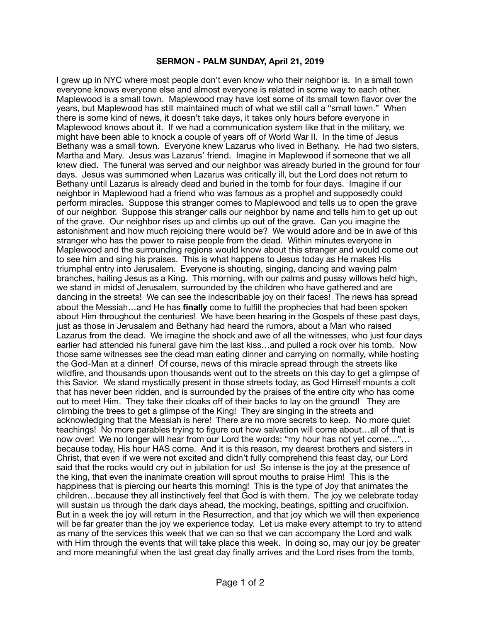## **SERMON - PALM SUNDAY, April 21, 2019**

I grew up in NYC where most people don't even know who their neighbor is. In a small town everyone knows everyone else and almost everyone is related in some way to each other. Maplewood is a small town. Maplewood may have lost some of its small town flavor over the years, but Maplewood has still maintained much of what we still call a "small town." When there is some kind of news, it doesn't take days, it takes only hours before everyone in Maplewood knows about it. If we had a communication system like that in the military, we might have been able to knock a couple of years off of World War II. In the time of Jesus Bethany was a small town. Everyone knew Lazarus who lived in Bethany. He had two sisters, Martha and Mary. Jesus was Lazarus' friend. Imagine in Maplewood if someone that we all knew died. The funeral was served and our neighbor was already buried in the ground for four days. Jesus was summoned when Lazarus was critically ill, but the Lord does not return to Bethany until Lazarus is already dead and buried in the tomb for four days. Imagine if our neighbor in Maplewood had a friend who was famous as a prophet and supposedly could perform miracles. Suppose this stranger comes to Maplewood and tells us to open the grave of our neighbor. Suppose this stranger calls our neighbor by name and tells him to get up out of the grave. Our neighbor rises up and climbs up out of the grave. Can you imagine the astonishment and how much rejoicing there would be? We would adore and be in awe of this stranger who has the power to raise people from the dead. Within minutes everyone in Maplewood and the surrounding regions would know about this stranger and would come out to see him and sing his praises. This is what happens to Jesus today as He makes His triumphal entry into Jerusalem. Everyone is shouting, singing, dancing and waving palm branches, hailing Jesus as a King. This morning, with our palms and pussy willows held high, we stand in midst of Jerusalem, surrounded by the children who have gathered and are dancing in the streets! We can see the indescribable joy on their faces! The news has spread about the Messiah…and He has **finally** come to fulfill the prophecies that had been spoken about Him throughout the centuries! We have been hearing in the Gospels of these past days, just as those in Jerusalem and Bethany had heard the rumors, about a Man who raised Lazarus from the dead. We imagine the shock and awe of all the witnesses, who just four days earlier had attended his funeral gave him the last kiss…and pulled a rock over his tomb. Now those same witnesses see the dead man eating dinner and carrying on normally, while hosting the God-Man at a dinner! Of course, news of this miracle spread through the streets like wildfire, and thousands upon thousands went out to the streets on this day to get a glimpse of this Savior. We stand mystically present in those streets today, as God Himself mounts a colt that has never been ridden, and is surrounded by the praises of the entire city who has come out to meet Him. They take their cloaks off of their backs to lay on the ground! They are climbing the trees to get a glimpse of the King! They are singing in the streets and acknowledging that the Messiah is here! There are no more secrets to keep. No more quiet teachings! No more parables trying to figure out how salvation will come about…all of that is now over! We no longer will hear from our Lord the words: "my hour has not yet come…"… because today, His hour HAS come. And it is this reason, my dearest brothers and sisters in Christ, that even if we were not excited and didn't fully comprehend this feast day, our Lord said that the rocks would cry out in jubilation for us! So intense is the joy at the presence of the king, that even the inanimate creation will sprout mouths to praise Him! This is the happiness that is piercing our hearts this morning! This is the type of Joy that animates the children…because they all instinctively feel that God is with them. The joy we celebrate today will sustain us through the dark days ahead, the mocking, beatings, spitting and crucifixion. But in a week the joy will return in the Resurrection, and that joy which we will then experience will be far greater than the joy we experience today. Let us make every attempt to try to attend as many of the services this week that we can so that we can accompany the Lord and walk with Him through the events that will take place this week. In doing so, may our joy be greater and more meaningful when the last great day finally arrives and the Lord rises from the tomb,